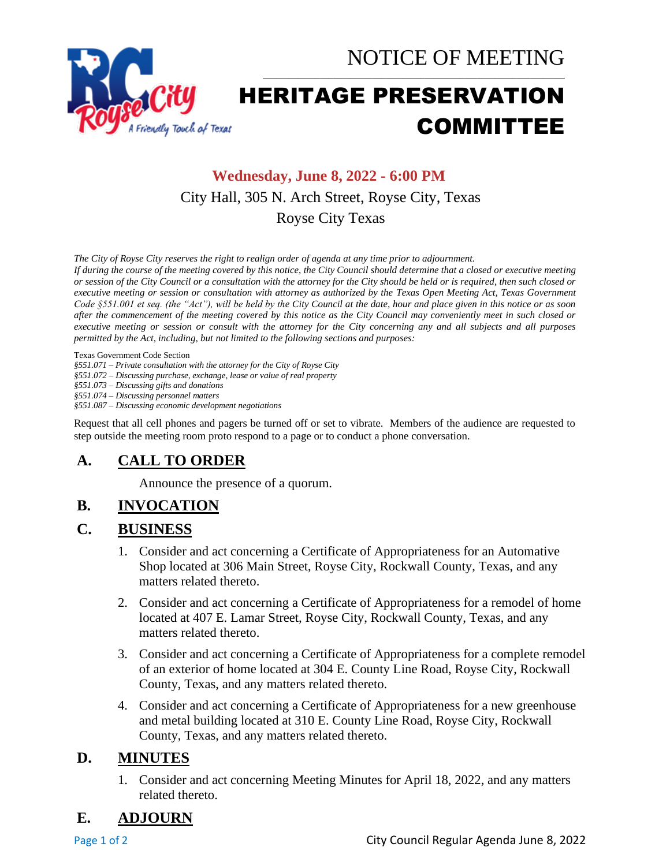



# HERITAGE PRESERVATION COMMITTEE

\_\_\_\_\_\_\_\_\_\_\_\_\_\_\_\_\_\_\_\_\_\_\_\_\_\_\_\_\_\_\_\_\_\_\_\_\_\_\_\_\_\_\_\_\_\_\_\_\_\_\_\_\_\_\_\_\_\_\_\_\_\_\_\_\_\_\_\_\_

## **Wednesday, June 8, 2022 - 6:00 PM** City Hall, 305 N. Arch Street, Royse City, Texas Royse City Texas

*The City of Royse City reserves the right to realign order of agenda at any time prior to adjournment.*

*If during the course of the meeting covered by this notice, the City Council should determine that a closed or executive meeting or session of the City Council or a consultation with the attorney for the City should be held or is required, then such closed or executive meeting or session or consultation with attorney as authorized by the Texas Open Meeting Act, Texas Government Code §551.001 et seq. (the "Act"), will be held by the City Council at the date, hour and place given in this notice or as soon after the commencement of the meeting covered by this notice as the City Council may conveniently meet in such closed or executive meeting or session or consult with the attorney for the City concerning any and all subjects and all purposes permitted by the Act, including, but not limited to the following sections and purposes:*

Texas Government Code Section

*§551.071 – Private consultation with the attorney for the City of Royse City* 

*§551.072 – Discussing purchase, exchange, lease or value of real property* 

*§551.073 – Discussing gifts and donations*

*§551.074 – Discussing personnel matters*

*§551.087 – Discussing economic development negotiations*

Request that all cell phones and pagers be turned off or set to vibrate. Members of the audience are requested to step outside the meeting room proto respond to a page or to conduct a phone conversation.

## **A. CALL TO ORDER**

Announce the presence of a quorum.

#### **B. INVOCATION**

#### **C. BUSINESS**

- 1. Consider and act concerning a Certificate of Appropriateness for an Automative Shop located at 306 Main Street, Royse City, Rockwall County, Texas, and any matters related thereto.
- 2. Consider and act concerning a Certificate of Appropriateness for a remodel of home located at 407 E. Lamar Street, Royse City, Rockwall County, Texas, and any matters related thereto.
- 3. Consider and act concerning a Certificate of Appropriateness for a complete remodel of an exterior of home located at 304 E. County Line Road, Royse City, Rockwall County, Texas, and any matters related thereto.
- 4. Consider and act concerning a Certificate of Appropriateness for a new greenhouse and metal building located at 310 E. County Line Road, Royse City, Rockwall County, Texas, and any matters related thereto.

#### **D. MINUTES**

1. Consider and act concerning Meeting Minutes for April 18, 2022, and any matters related thereto.

## **E. ADJOURN**